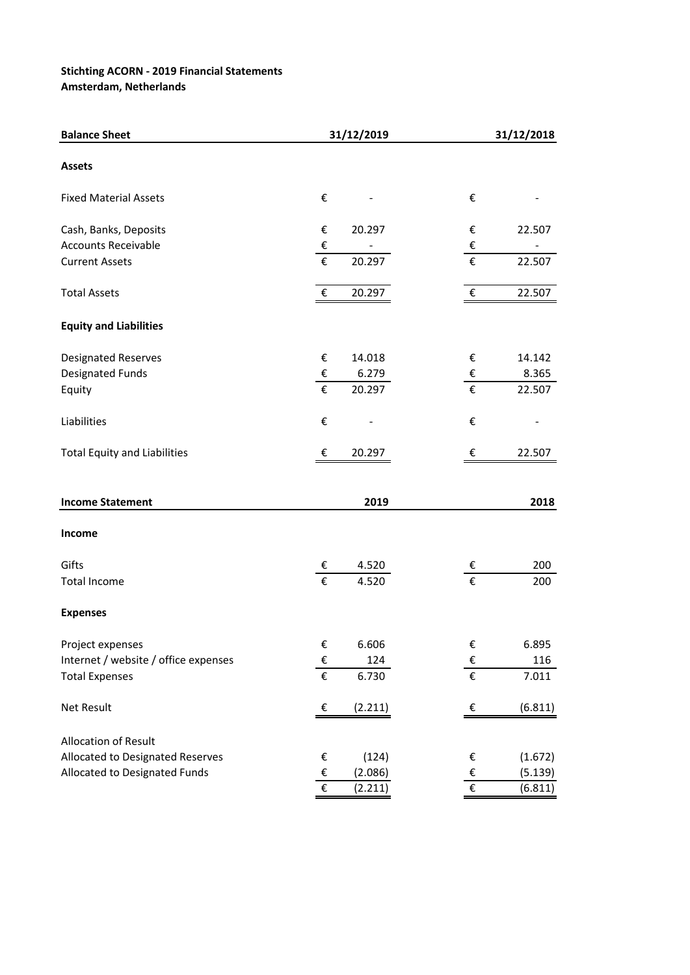## **Stichting ACORN - 2019 Financial Statements**

**Amsterdam, Netherlands**

| <b>Balance Sheet</b>                 |                         | 31/12/2019 | 31/12/2018              |         |  |  |
|--------------------------------------|-------------------------|------------|-------------------------|---------|--|--|
| <b>Assets</b>                        |                         |            |                         |         |  |  |
| <b>Fixed Material Assets</b>         | €                       |            | €                       |         |  |  |
| Cash, Banks, Deposits                | €                       | 20.297     | €                       | 22.507  |  |  |
| <b>Accounts Receivable</b>           | €                       |            | €                       |         |  |  |
| <b>Current Assets</b>                | €                       | 20.297     | €                       | 22.507  |  |  |
| <b>Total Assets</b>                  | €                       | 20.297     | $\boldsymbol{\epsilon}$ | 22.507  |  |  |
| <b>Equity and Liabilities</b>        |                         |            |                         |         |  |  |
| Designated Reserves                  | €                       | 14.018     | €                       | 14.142  |  |  |
| <b>Designated Funds</b>              | €                       | 6.279      | €                       | 8.365   |  |  |
| Equity                               | €                       | 20.297     | €                       | 22.507  |  |  |
| Liabilities                          | €                       |            | €                       |         |  |  |
| <b>Total Equity and Liabilities</b>  | €                       | 20.297     | €                       | 22.507  |  |  |
|                                      |                         |            |                         |         |  |  |
| <b>Income Statement</b>              |                         | 2019       |                         | 2018    |  |  |
| Income                               |                         |            |                         |         |  |  |
| Gifts                                | €                       | 4.520      | €                       | 200     |  |  |
| <b>Total Income</b>                  | €                       | 4.520      | €                       | 200     |  |  |
| <b>Expenses</b>                      |                         |            |                         |         |  |  |
| Project expenses                     | €                       | 6.606      | €                       | 6.895   |  |  |
| Internet / website / office expenses | $\boldsymbol{\epsilon}$ | 124        | €                       | 116     |  |  |
| <b>Total Expenses</b>                | $\overline{\epsilon}$   | 6.730      | $\overline{\epsilon}$   | 7.011   |  |  |
| Net Result                           | €                       | (2.211)    | $\epsilon$              | (6.811) |  |  |
| <b>Allocation of Result</b>          |                         |            |                         |         |  |  |
| Allocated to Designated Reserves     | €                       | (124)      | €                       | (1.672) |  |  |
| Allocated to Designated Funds        | €                       | (2.086)    | €                       | (5.139) |  |  |
|                                      | €                       | (2.211)    | $\overline{\epsilon}$   | (6.811) |  |  |